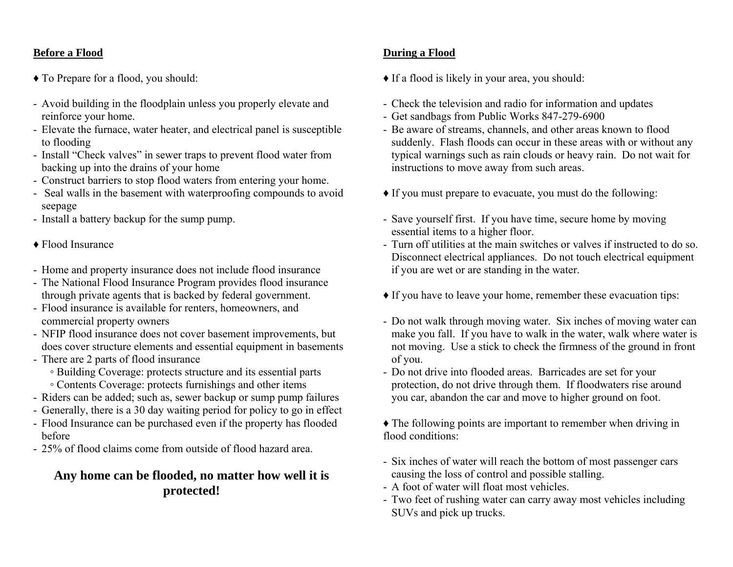### **Before a Flood**

- ♦ To Prepare for a flood, you should:
- Avoid building in the floodplain unless you properly elevate and reinforce your home.
- Elevate the furnace, water heater, and electrical panel is susceptible to flooding
- Install "Check valves" in sewer traps to prevent flood water from backing up into the drains of your home
- Construct barriers to stop flood waters from entering your home.
- Seal walls in the basement with waterproofing compounds to avoid seepage
- Install a battery backup for the sump pump.
- ♦ Flood Insurance
- Home and property insurance does not include flood insurance
- The National Flood Insurance Program provides flood insurance through private agents that is backed by federal government.
- Flood insurance is available for renters, homeowners, and commercial property owners
- NFIP flood insurance does not cover basement improvements, but does cover structure elements and essential equipment in basements
- There are 2 parts of flood insurance
	- Building Coverage: protects structure and its essential parts
	- Contents Coverage: protects furnishings and other items
- Riders can be added; such as, sewer backup or sump pump failures
- Generally, there is a 30 day waiting period for policy to go in effect
- Flood Insurance can be purchased even if the property has flooded before
- 25% of flood claims come from outside of flood hazard area.

## **Any home can be flooded, no matter how well it is protected!**

### **During a Flood**

- ♦ If a flood is likely in your area, you should:
- Check the television and radio for information and updates
- Get sandbags from Public Works 847-279-6900
- Be aware of streams, channels, and other areas known to flood suddenly. Flash floods can occur in these areas with or without any typical warnings such as rain clouds or heavy rain. Do not wait for instructions to move away from such areas.
- ♦ If you must prepare to evacuate, you must do the following:
- Save yourself first. If you have time, secure home by moving essential items to a higher floor.
- Turn off utilities at the main switches or valves if instructed to do so. Disconnect electrical appliances. Do not touch electrical equipment if you are wet or are standing in the water.
- ♦ If you have to leave your home, remember these evacuation tips:
- Do not walk through moving water. Six inches of moving water can make you fall. If you have to walk in the water, walk where water is not moving. Use a stick to check the firmness of the ground in front of you.
- Do not drive into flooded areas. Barricades are set for your protection, do not drive through them. If floodwaters rise around you car, abandon the car and move to higher ground on foot.
- ♦ The following points are important to remember when driving in flood conditions:
- Six inches of water will reach the bottom of most passenger cars causing the loss of control and possible stalling.
- A foot of water will float most vehicles.
- Two feet of rushing water can carry away most vehicles including SUVs and pick up trucks.